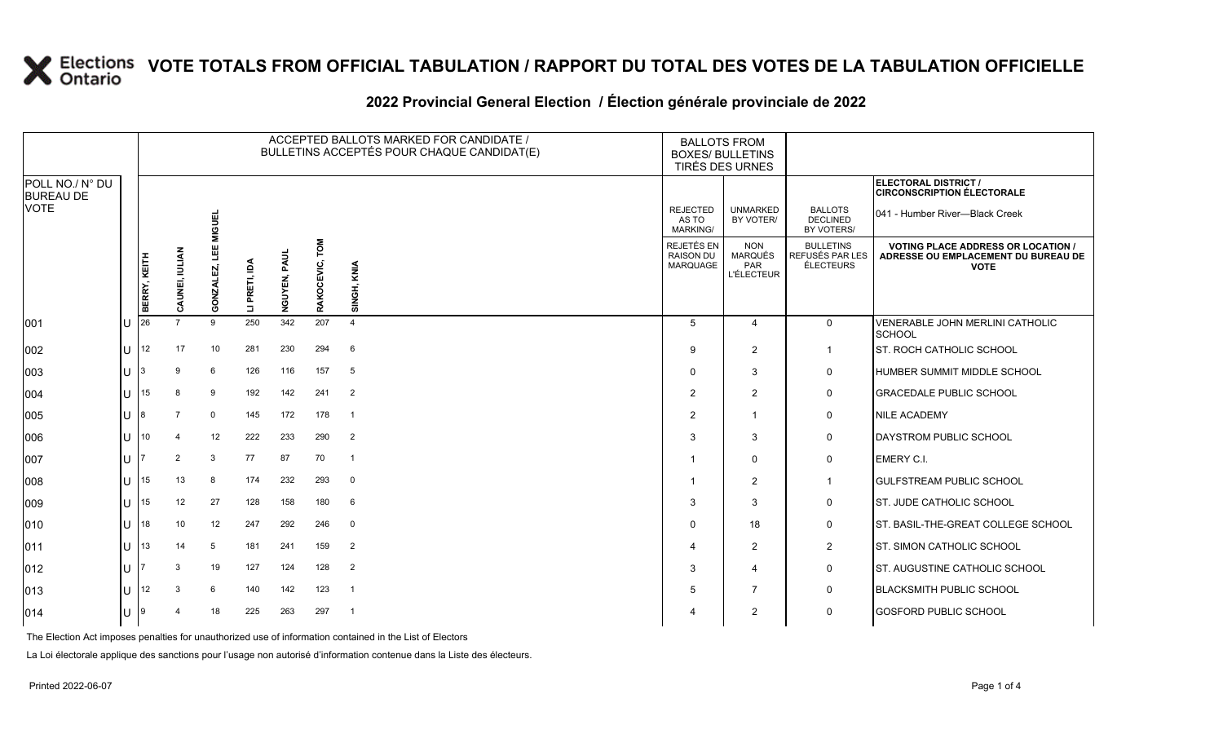#### **2022 Provincial General Election / Élection générale provinciale de 2022**

|                                     | ACCEPTED BALLOTS MARKED FOR CANDIDATE /<br>BULLETINS ACCEPTÉS POUR CHAQUE CANDIDAT(E) |                |             |               |              |                   |                          | <b>BALLOTS FROM</b><br><b>BOXES/ BULLETINS</b><br>TIRÉS DES URNES |                                                                 |                                                  |                                                                                                 |
|-------------------------------------|---------------------------------------------------------------------------------------|----------------|-------------|---------------|--------------|-------------------|--------------------------|-------------------------------------------------------------------|-----------------------------------------------------------------|--------------------------------------------------|-------------------------------------------------------------------------------------------------|
| POLL NO./ N° DU<br><b>BUREAU DE</b> |                                                                                       |                |             |               |              |                   |                          |                                                                   |                                                                 |                                                  | <b>ELECTORAL DISTRICT /</b><br><b>CIRCONSCRIPTION ÉLECTORALE</b>                                |
| <b>VOTE</b>                         |                                                                                       |                | <b>GUEL</b> |               |              |                   |                          | <b>REJECTED</b><br>AS TO<br><b>MARKING/</b>                       | <b>UNMARKED</b><br>BY VOTER/                                    | <b>BALLOTS</b><br><b>DECLINED</b><br>BY VOTERS/  | 041 - Humber River—Black Creek                                                                  |
|                                     | <b>BERRY, KEITH</b>                                                                   | CAUNEI, IULIAN | GONZAL      | LI PRETI, IDA | NGUYEN, PAUL | TOM<br>RAKOCEVIC, | SINGH, KNIA              | REJETÉS EN<br><b>RAISON DU</b><br>MARQUAGE                        | <b>NON</b><br><b>MARQUÉS</b><br><b>PAR</b><br><b>L'ÉLECTEUR</b> | <b>BULLETINS</b><br>REFUSÉS PAR LES<br>ÉLECTEURS | <b>VOTING PLACE ADDRESS OR LOCATION /</b><br>ADRESSE OU EMPLACEMENT DU BUREAU DE<br><b>VOTE</b> |
| 001                                 | 26                                                                                    |                | 9           | 250           | 342          | 207               | $\overline{4}$           | 5                                                                 | $\overline{4}$                                                  | $\mathbf 0$                                      | VENERABLE JOHN MERLINI CATHOLIC<br>SCHOOL                                                       |
| 002                                 | 12                                                                                    | 17             | 10          | 281           | 230          | 294               | 6                        | 9                                                                 | 2                                                               | $\mathbf{1}$                                     | ST. ROCH CATHOLIC SCHOOL                                                                        |
| 003                                 |                                                                                       | 9              | 6           | 126           | 116          | 157               | 5                        | $\Omega$                                                          | 3                                                               | $\mathsf{O}$                                     | <b>HUMBER SUMMIT MIDDLE SCHOOL</b>                                                              |
| 004                                 | 15                                                                                    | 8              | 9           | 192           | 142          | 241               | $\overline{2}$           | 2                                                                 | $\overline{2}$                                                  | $\mathsf{O}$                                     | <b>GRACEDALE PUBLIC SCHOOL</b>                                                                  |
| 005                                 |                                                                                       | 7              | $\mathbf 0$ | 145           | 172          | 178               | $\overline{1}$           | $\overline{2}$                                                    | $\overline{1}$                                                  | 0                                                | <b>NILE ACADEMY</b>                                                                             |
| 006                                 | 10                                                                                    |                | 12          | 222           | 233          | 290               | $\overline{2}$           | 3                                                                 | 3                                                               | $\mathsf{O}$                                     | <b>DAYSTROM PUBLIC SCHOOL</b>                                                                   |
| 007                                 |                                                                                       | 2              | 3           | 77            | 87           | 70                | $\overline{1}$           |                                                                   | $\mathbf{0}$                                                    | $\mathbf 0$                                      | <b>EMERY C.I.</b>                                                                               |
| 008                                 | 15                                                                                    | 13             | 8           | 174           | 232          | 293               | $\mathbf 0$              | 1                                                                 | 2                                                               | $\mathbf{1}$                                     | <b>IGULFSTREAM PUBLIC SCHOOL</b>                                                                |
| 009                                 | 15                                                                                    | 12             | 27          | 128           | 158          | 180               | 6                        | 3                                                                 | 3                                                               | 0                                                | <b>ST. JUDE CATHOLIC SCHOOL</b>                                                                 |
| 010                                 | 18                                                                                    | 10             | 12          | 247           | 292          | 246               | $\overline{0}$           | $\Omega$                                                          | 18                                                              | $\mathbf 0$                                      | ST. BASIL-THE-GREAT COLLEGE SCHOOL                                                              |
| 011                                 | 13                                                                                    | 14             | 5           | 181           | 241          | 159               | $\overline{2}$           | 4                                                                 | 2                                                               | $\overline{2}$                                   | <b>ST. SIMON CATHOLIC SCHOOL</b>                                                                |
| 012                                 |                                                                                       | 3              | 19          | 127           | 124          | 128               | $\overline{2}$           | 3                                                                 | $\overline{4}$                                                  | $\mathbf 0$                                      | <b>ST. AUGUSTINE CATHOLIC SCHOOL</b>                                                            |
| 013                                 | 12                                                                                    | 3              | 6           | 140           | 142          | 123               | $\overline{\phantom{0}}$ | 5                                                                 | $\overline{7}$                                                  | $\mathbf 0$                                      | <b>BLACKSMITH PUBLIC SCHOOL</b>                                                                 |
| 014                                 |                                                                                       | 4              | 18          | 225           | 263          | 297               | - 1                      | 4                                                                 | 2                                                               | $\mathbf 0$                                      | <b>GOSFORD PUBLIC SCHOOL</b>                                                                    |

The Election Act imposes penalties for unauthorized use of information contained in the List of Electors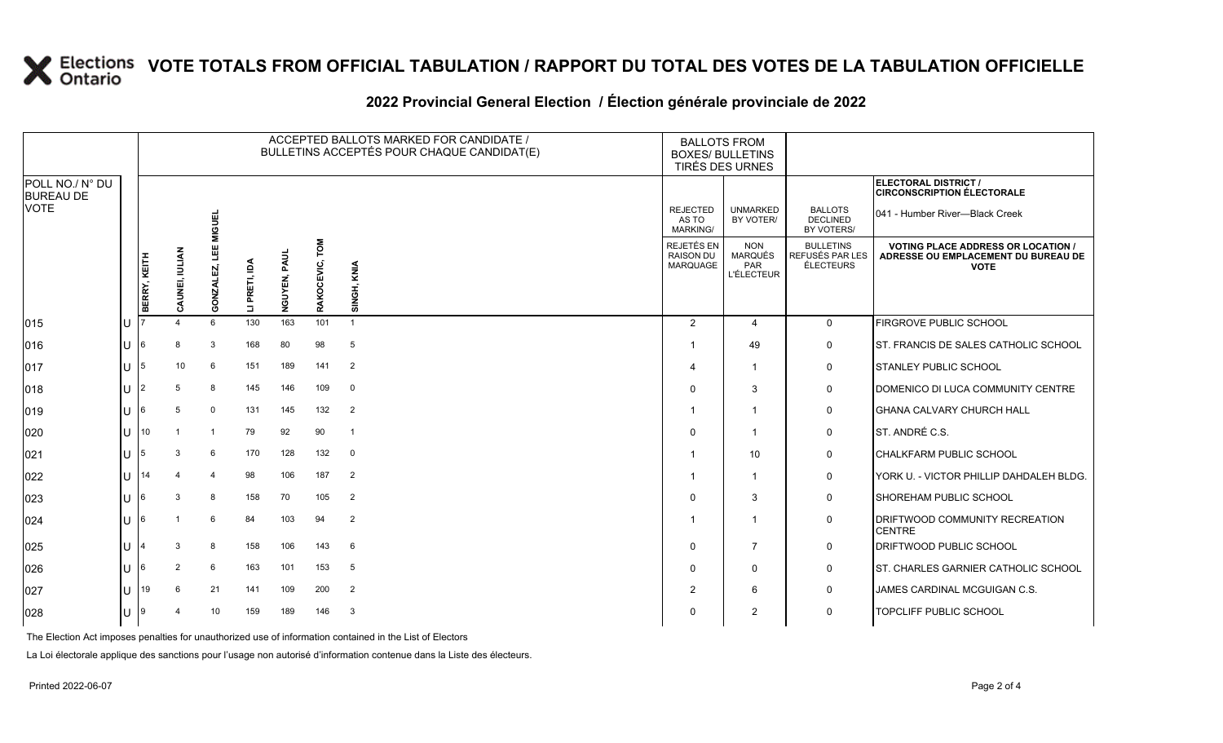#### **2022 Provincial General Election / Élection générale provinciale de 2022**

|                                     |     |                |                |                |               |              |                   | ACCEPTED BALLOTS MARKED FOR CANDIDATE /<br>BULLETINS ACCEPTÉS POUR CHAQUE CANDIDAT(E) | <b>BALLOTS FROM</b><br><b>BOXES/ BULLETINS</b><br>TIRÉS DES URNES |                                                                 |                                                         |                                                                                                 |
|-------------------------------------|-----|----------------|----------------|----------------|---------------|--------------|-------------------|---------------------------------------------------------------------------------------|-------------------------------------------------------------------|-----------------------------------------------------------------|---------------------------------------------------------|-------------------------------------------------------------------------------------------------|
| POLL NO./ N° DU<br><b>BUREAU DE</b> |     |                |                |                |               |              |                   |                                                                                       |                                                                   |                                                                 |                                                         | ELECTORAL DISTRICT /<br><b>CIRCONSCRIPTION ÉLECTORALE</b>                                       |
| <b>VOTE</b>                         |     |                |                | <b>MIGUEL</b>  |               |              |                   |                                                                                       | <b>REJECTED</b><br>AS TO<br><b>MARKING/</b>                       | <b>UNMARKED</b><br>BY VOTER/                                    | <b>BALLOTS</b><br>DECLINED<br>BY VOTERS/                | 041 - Humber River—Black Creek                                                                  |
|                                     |     | BERRY, KEITH   | CAUNEI, IULIAN | Ë<br>GONZALEZ, | LI PRETI, IDA | NGUYEN, PAUI | TOM<br>RAKOCEVIC, | SINGH, KNIA                                                                           | REJETÉS EN<br><b>RAISON DU</b><br><b>MARQUAGE</b>                 | <b>NON</b><br><b>MARQUÉS</b><br><b>PAR</b><br><b>L'ÉLECTEUR</b> | <b>BULLETINS</b><br>REFUSÉS PAR LES<br><b>ÉLECTEURS</b> | <b>VOTING PLACE ADDRESS OR LOCATION /</b><br>ADRESSE OU EMPLACEMENT DU BUREAU DE<br><b>VOTE</b> |
| $ 015\rangle$                       | lU  |                |                | 6              | 130           | 163          | 101               | $\overline{1}$                                                                        | 2                                                                 | 4                                                               | $\mathbf 0$                                             | FIRGROVE PUBLIC SCHOOL                                                                          |
| 016                                 | lU  | 6              | 8              | 3              | 168           | 80           | 98                | 5                                                                                     |                                                                   | 49                                                              | $\mathsf{O}$                                            | ST. FRANCIS DE SALES CATHOLIC SCHOOL                                                            |
| 017                                 | ΙU  | 5              | 10             | 6              | 151           | 189          | 141               | 2                                                                                     | $\boldsymbol{\varDelta}$                                          | 1                                                               | $\mathbf 0$                                             | <b>STANLEY PUBLIC SCHOOL</b>                                                                    |
| $ 018\rangle$                       | lU  | $\overline{2}$ | 5              | 8              | 145           | 146          | 109               | $\mathbf 0$                                                                           | $\mathbf 0$                                                       | 3                                                               | $\mathsf{O}$                                            | DOMENICO DI LUCA COMMUNITY CENTRE                                                               |
| $ 019\rangle$                       | ΙU  | 6              | 5              | $\mathbf 0$    | 131           | 145          | 132               | $\overline{2}$                                                                        | $\overline{\mathbf{1}}$                                           | $\overline{1}$                                                  | $\mathsf{O}$                                            | <b>GHANA CALVARY CHURCH HALL</b>                                                                |
| $ 020\rangle$                       | ΙU  | 10             |                | $\overline{1}$ | 79            | 92           | 90                | $\overline{1}$                                                                        | $\Omega$                                                          | -1                                                              | $\mathbf 0$                                             | ST. ANDRÉ C.S.                                                                                  |
| 021                                 | lU  | 5              | 3              | 6              | 170           | 128          | 132               | $\mathbf 0$                                                                           |                                                                   | 10                                                              | $\mathbf 0$                                             | CHALKFARM PUBLIC SCHOOL                                                                         |
| 022                                 | lu  | 14             |                |                | 98            | 106          | 187               | 2                                                                                     |                                                                   | -1                                                              | $\mathbf 0$                                             | YORK U. - VICTOR PHILLIP DAHDALEH BLDG.                                                         |
| 023                                 | lu  | 6              | 3              | 8              | 158           | 70           | 105               | $\overline{2}$                                                                        | $\Omega$                                                          | 3                                                               | $\mathbf 0$                                             | SHOREHAM PUBLIC SCHOOL                                                                          |
| 024                                 | lU. | 6              |                | 6              | 84            | 103          | 94                | 2                                                                                     |                                                                   |                                                                 | 0                                                       | DRIFTWOOD COMMUNITY RECREATION<br><b>CENTRE</b>                                                 |
| 025                                 | lu  | 4              | 3              | 8              | 158           | 106          | 143               | 6                                                                                     | $\mathbf 0$                                                       | $\overline{7}$                                                  | $\mathbf 0$                                             | <b>DRIFTWOOD PUBLIC SCHOOL</b>                                                                  |
| 026                                 | lu  | 6              | $\overline{2}$ | 6              | 163           | 101          | 153               | $5\phantom{.0}$                                                                       | $\Omega$                                                          | $\mathbf{0}$                                                    | $\mathbf 0$                                             | ST. CHARLES GARNIER CATHOLIC SCHOOL                                                             |
| 027                                 | ΙU  | 19             | 6              | 21             | 141           | 109          | 200               | $\overline{2}$                                                                        | 2                                                                 | 6                                                               | $\mathbf 0$                                             | JAMES CARDINAL MCGUIGAN C.S.                                                                    |
| 028                                 | lu  | 9              |                | 10             | 159           | 189          | 146               | $\mathbf{3}$                                                                          | $\Omega$                                                          | 2                                                               | $\mathsf{O}$                                            | <b>TOPCLIFF PUBLIC SCHOOL</b>                                                                   |

The Election Act imposes penalties for unauthorized use of information contained in the List of Electors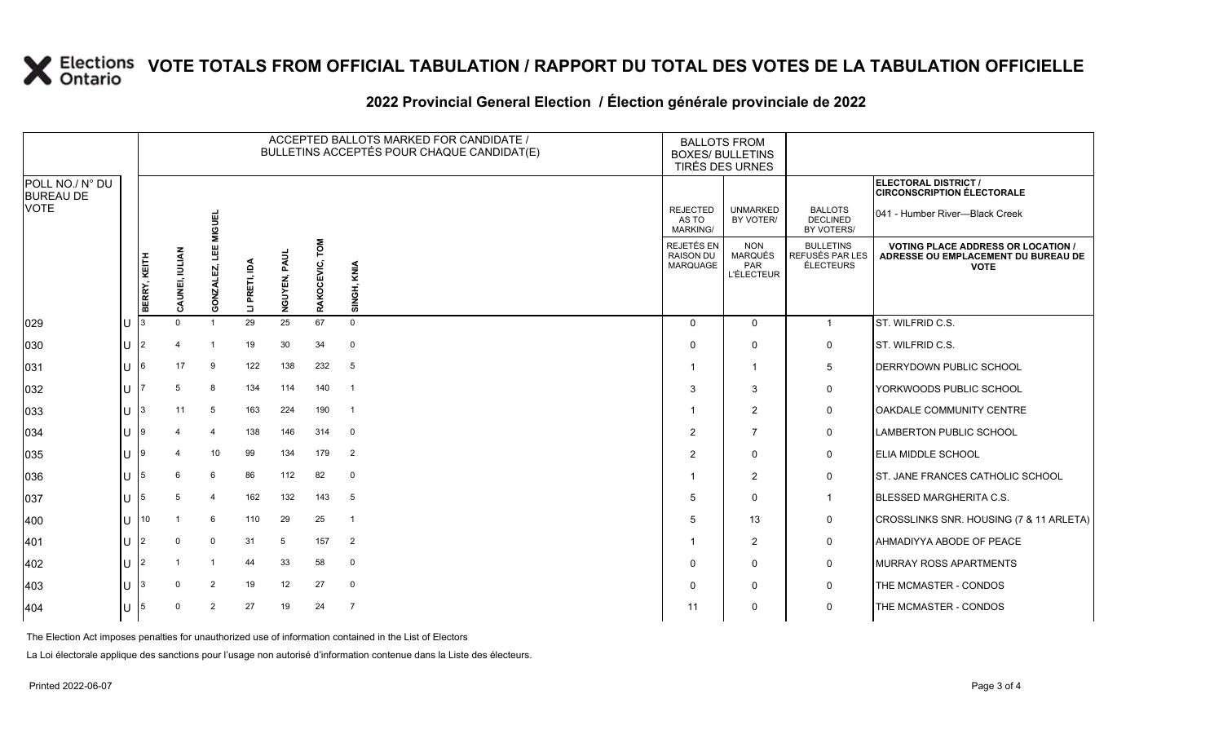#### **2022 Provincial General Election / Élection générale provinciale de 2022**

|                                     | ACCEPTED BALLOTS MARKED FOR CANDIDATE /<br>BULLETINS ACCEPTÉS POUR CHAQUE CANDIDAT(E) |                |                |               |                 |                   |                | <b>BALLOTS FROM</b><br><b>BOXES/ BULLETINS</b><br>TIRÉS DES URNES |                                                          |                                                  |                                                                                                 |
|-------------------------------------|---------------------------------------------------------------------------------------|----------------|----------------|---------------|-----------------|-------------------|----------------|-------------------------------------------------------------------|----------------------------------------------------------|--------------------------------------------------|-------------------------------------------------------------------------------------------------|
| POLL NO./ N° DU<br><b>BUREAU DE</b> |                                                                                       |                |                |               |                 |                   |                |                                                                   |                                                          |                                                  | ELECTORAL DISTRICT /<br><b>CIRCONSCRIPTION ÉLECTORALE</b>                                       |
| VOTE                                |                                                                                       |                | <b>MIGUEL</b>  |               |                 |                   |                | <b>REJECTED</b><br>AS TO<br><b>MARKING/</b>                       | <b>UNMARKED</b><br>BY VOTER/                             | <b>BALLOTS</b><br><b>DECLINED</b><br>BY VOTERS/  | 041 - Humber River-Black Creek                                                                  |
|                                     | BERRY, KEITH                                                                          | CAUNEI, IULIAN | ⊐<br>GONZALE   | LI PRETI, IDA | PAUL<br>NGUYEN, | LOW<br>RAKOCEVIC, | SINGH, KNIA    | REJETÉS EN<br><b>RAISON DU</b><br>MARQUAGE                        | <b>NON</b><br><b>MARQUÉS</b><br>PAR<br><b>L'ÉLECTEUR</b> | <b>BULLETINS</b><br>REFUSÉS PAR LES<br>ÉLECTEURS | <b>VOTING PLACE ADDRESS OR LOCATION /</b><br>ADRESSE OU EMPLACEMENT DU BUREAU DE<br><b>VOTE</b> |
| 029                                 |                                                                                       | $\Omega$       | $\mathbf{1}$   | 29            | 25              | 67                | $\Omega$       | $\Omega$                                                          | $\mathbf 0$                                              | $\mathbf{1}$                                     | <b>ST. WILFRID C.S.</b>                                                                         |
| 030                                 | 2                                                                                     |                | -1             | 19            | 30              | 34                | $\mathbf{0}$   | $\Omega$                                                          | $\mathbf{0}$                                             | 0                                                | <b>ST. WILFRID C.S.</b>                                                                         |
| 031                                 | 6                                                                                     | 17             | 9              | 122           | 138             | 232               | 5              | -1                                                                | $\mathbf{1}$                                             | 5                                                | DERRYDOWN PUBLIC SCHOOL                                                                         |
| 032                                 |                                                                                       |                | 8              | 134           | 114             | 140               | $\overline{1}$ | 3                                                                 | 3                                                        | $\mathbf 0$                                      | <b>YORKWOODS PUBLIC SCHOOL</b>                                                                  |
| 033                                 |                                                                                       | 11             | 5              | 163           | 224             | 190               | $\overline{1}$ | -1                                                                | 2                                                        | 0                                                | OAKDALE COMMUNITY CENTRE                                                                        |
| 034                                 |                                                                                       |                | $\overline{4}$ | 138           | 146             | 314               | 0              | $\overline{2}$                                                    | $\overline{7}$                                           | 0                                                | <b>LAMBERTON PUBLIC SCHOOL</b>                                                                  |
| 035                                 |                                                                                       |                | 10             | 99            | 134             | 179               | $\overline{2}$ | $\overline{2}$                                                    | $\Omega$                                                 | 0                                                | <b>ELIA MIDDLE SCHOOL</b>                                                                       |
| 036                                 | 5                                                                                     | 6              | 6              | 86            | 112             | 82                | 0              |                                                                   | 2                                                        | 0                                                | <b>ST. JANE FRANCES CATHOLIC SCHOOL</b>                                                         |
| 037                                 |                                                                                       | 5              | $\overline{4}$ | 162           | 132             | 143               | 5              | .5                                                                | $\mathbf{0}$                                             | $\mathbf{1}$                                     | <b>BLESSED MARGHERITA C.S.</b>                                                                  |
| 400                                 | 10                                                                                    |                | 6              | 110           | 29              | 25                | $\overline{1}$ | 5                                                                 | 13                                                       | 0                                                | CROSSLINKS SNR. HOUSING (7 & 11 ARLETA)                                                         |
| 401                                 | 2                                                                                     | $\Omega$       | $\mathbf 0$    | 31            | 5               | 157               | 2              |                                                                   | 2                                                        | 0                                                | <b>AHMADIYYA ABODE OF PEACE</b>                                                                 |
| 402                                 |                                                                                       |                |                | 44            | 33              | 58                | $\mathbf 0$    | $\Omega$                                                          | 0                                                        | 0                                                | <b>MURRAY ROSS APARTMENTS</b>                                                                   |
| 403                                 |                                                                                       |                | $\overline{2}$ | 19            | 12              | 27                | $\mathbf 0$    | $\Omega$                                                          | $\Omega$                                                 | 0                                                | THE MCMASTER - CONDOS                                                                           |
| 404                                 | 5                                                                                     |                | $\overline{2}$ | 27            | 19              | 24                | $\overline{7}$ | 11                                                                | $\Omega$                                                 | 0                                                | THE MCMASTER - CONDOS                                                                           |

The Election Act imposes penalties for unauthorized use of information contained in the List of Electors